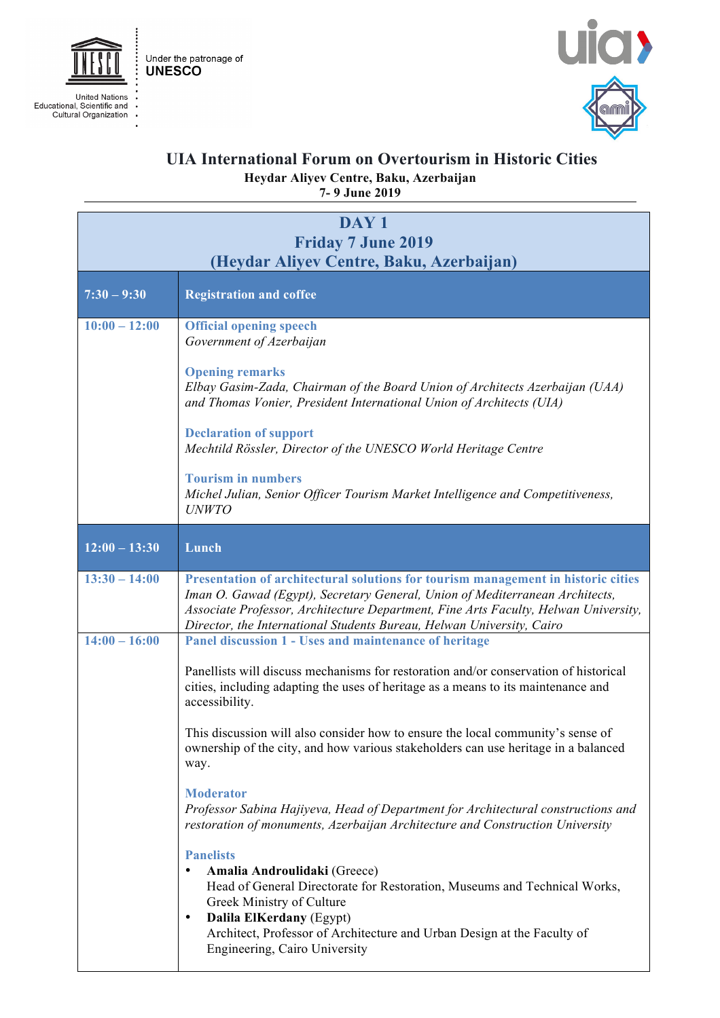





**UIA International Forum on Overtourism in Historic Cities Heydar Aliyev Centre, Baku, Azerbaijan 7- 9 June 2019**

| DAY <sub>1</sub><br><b>Friday 7 June 2019</b><br>(Heydar Aliyev Centre, Baku, Azerbaijan) |                                                                                                                                                                                                                                                                                                                                                                                                                                                                                                           |
|-------------------------------------------------------------------------------------------|-----------------------------------------------------------------------------------------------------------------------------------------------------------------------------------------------------------------------------------------------------------------------------------------------------------------------------------------------------------------------------------------------------------------------------------------------------------------------------------------------------------|
| $7:30 - 9:30$                                                                             | <b>Registration and coffee</b>                                                                                                                                                                                                                                                                                                                                                                                                                                                                            |
| $10:00 - 12:00$                                                                           | <b>Official opening speech</b><br>Government of Azerbaijan<br><b>Opening remarks</b><br>Elbay Gasim-Zada, Chairman of the Board Union of Architects Azerbaijan (UAA)<br>and Thomas Vonier, President International Union of Architects (UIA)<br><b>Declaration of support</b><br>Mechtild Rössler, Director of the UNESCO World Heritage Centre<br><b>Tourism in numbers</b><br>Michel Julian, Senior Officer Tourism Market Intelligence and Competitiveness,                                            |
| $12:00 - 13:30$                                                                           | <b>UNWTO</b><br>Lunch                                                                                                                                                                                                                                                                                                                                                                                                                                                                                     |
| $13:30 - 14:00$                                                                           | Presentation of architectural solutions for tourism management in historic cities<br>Iman O. Gawad (Egypt), Secretary General, Union of Mediterranean Architects,<br>Associate Professor, Architecture Department, Fine Arts Faculty, Helwan University,<br>Director, the International Students Bureau, Helwan University, Cairo                                                                                                                                                                         |
| $14:00 - 16:00$                                                                           | Panel discussion 1 - Uses and maintenance of heritage<br>Panellists will discuss mechanisms for restoration and/or conservation of historical<br>cities, including adapting the uses of heritage as a means to its maintenance and<br>accessibility.<br>This discussion will also consider how to ensure the local community's sense of<br>ownership of the city, and how various stakeholders can use heritage in a balanced<br>way.                                                                     |
|                                                                                           | <b>Moderator</b><br>Professor Sabina Hajiyeva, Head of Department for Architectural constructions and<br>restoration of monuments, Azerbaijan Architecture and Construction University<br><b>Panelists</b><br>Amalia Androulidaki (Greece)<br>Head of General Directorate for Restoration, Museums and Technical Works,<br>Greek Ministry of Culture<br>Dalila ElKerdany (Egypt)<br>$\bullet$<br>Architect, Professor of Architecture and Urban Design at the Faculty of<br>Engineering, Cairo University |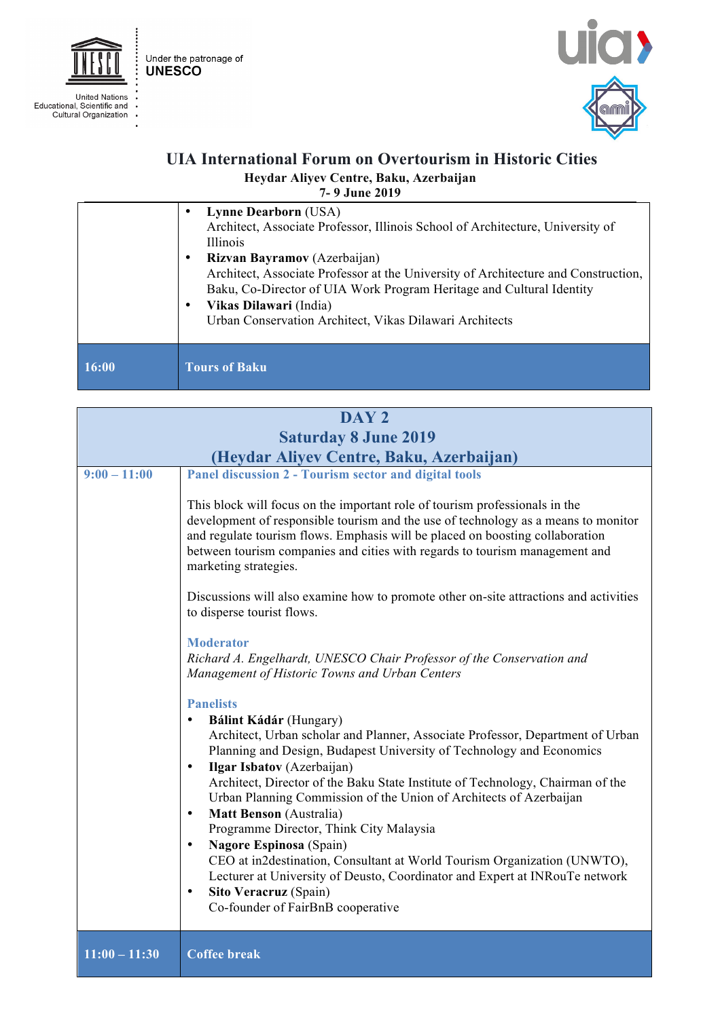

United Nations<br>Educational, Scientific and<br>Cultural Organization

j J.



## **UIA International Forum on Overtourism in Historic Cities Heydar Aliyev Centre, Baku, Azerbaijan 7- 9 June 2019**

|       | <b>Lynne Dearborn (USA)</b><br>Architect, Associate Professor, Illinois School of Architecture, University of<br>Illinois<br><b>Rizvan Bayramov</b> (Azerbaijan)<br>٠<br>Architect, Associate Professor at the University of Architecture and Construction,<br>Baku, Co-Director of UIA Work Program Heritage and Cultural Identity<br>Vikas Dilawari (India)<br>٠<br>Urban Conservation Architect, Vikas Dilawari Architects |
|-------|-------------------------------------------------------------------------------------------------------------------------------------------------------------------------------------------------------------------------------------------------------------------------------------------------------------------------------------------------------------------------------------------------------------------------------|
| 16:00 | <b>Tours of Baku</b>                                                                                                                                                                                                                                                                                                                                                                                                          |

| DAY <sub>2</sub>            |                                                                                                                                                                                                                                                                                                                                                                                                                                                                                                                                                                                                                                                                                                                                                                                                                                                                                                                                                                                                                                                                                                                                                                                                                                                         |  |
|-----------------------------|---------------------------------------------------------------------------------------------------------------------------------------------------------------------------------------------------------------------------------------------------------------------------------------------------------------------------------------------------------------------------------------------------------------------------------------------------------------------------------------------------------------------------------------------------------------------------------------------------------------------------------------------------------------------------------------------------------------------------------------------------------------------------------------------------------------------------------------------------------------------------------------------------------------------------------------------------------------------------------------------------------------------------------------------------------------------------------------------------------------------------------------------------------------------------------------------------------------------------------------------------------|--|
| <b>Saturday 8 June 2019</b> |                                                                                                                                                                                                                                                                                                                                                                                                                                                                                                                                                                                                                                                                                                                                                                                                                                                                                                                                                                                                                                                                                                                                                                                                                                                         |  |
|                             |                                                                                                                                                                                                                                                                                                                                                                                                                                                                                                                                                                                                                                                                                                                                                                                                                                                                                                                                                                                                                                                                                                                                                                                                                                                         |  |
| $9:00 - 11:00$              | (Heydar Aliyev Centre, Baku, Azerbaijan)<br>Panel discussion 2 - Tourism sector and digital tools<br>This block will focus on the important role of tourism professionals in the<br>development of responsible tourism and the use of technology as a means to monitor<br>and regulate tourism flows. Emphasis will be placed on boosting collaboration<br>between tourism companies and cities with regards to tourism management and<br>marketing strategies.<br>Discussions will also examine how to promote other on-site attractions and activities<br>to disperse tourist flows.<br><b>Moderator</b><br>Richard A. Engelhardt, UNESCO Chair Professor of the Conservation and<br>Management of Historic Towns and Urban Centers<br><b>Panelists</b><br>Bálint Kádár (Hungary)<br>$\bullet$<br>Architect, Urban scholar and Planner, Associate Professor, Department of Urban<br>Planning and Design, Budapest University of Technology and Economics<br><b>Ilgar Isbatov</b> (Azerbaijan)<br>$\bullet$<br>Architect, Director of the Baku State Institute of Technology, Chairman of the<br>Urban Planning Commission of the Union of Architects of Azerbaijan<br>Matt Benson (Australia)<br>$\bullet$<br>Programme Director, Think City Malaysia |  |
|                             | Nagore Espinosa (Spain)<br>$\bullet$<br>CEO at in2destination, Consultant at World Tourism Organization (UNWTO),<br>Lecturer at University of Deusto, Coordinator and Expert at INRouTe network<br>Sito Veracruz (Spain)<br>$\bullet$<br>Co-founder of FairBnB cooperative                                                                                                                                                                                                                                                                                                                                                                                                                                                                                                                                                                                                                                                                                                                                                                                                                                                                                                                                                                              |  |
| $11:00 - 11:30$             | <b>Coffee break</b>                                                                                                                                                                                                                                                                                                                                                                                                                                                                                                                                                                                                                                                                                                                                                                                                                                                                                                                                                                                                                                                                                                                                                                                                                                     |  |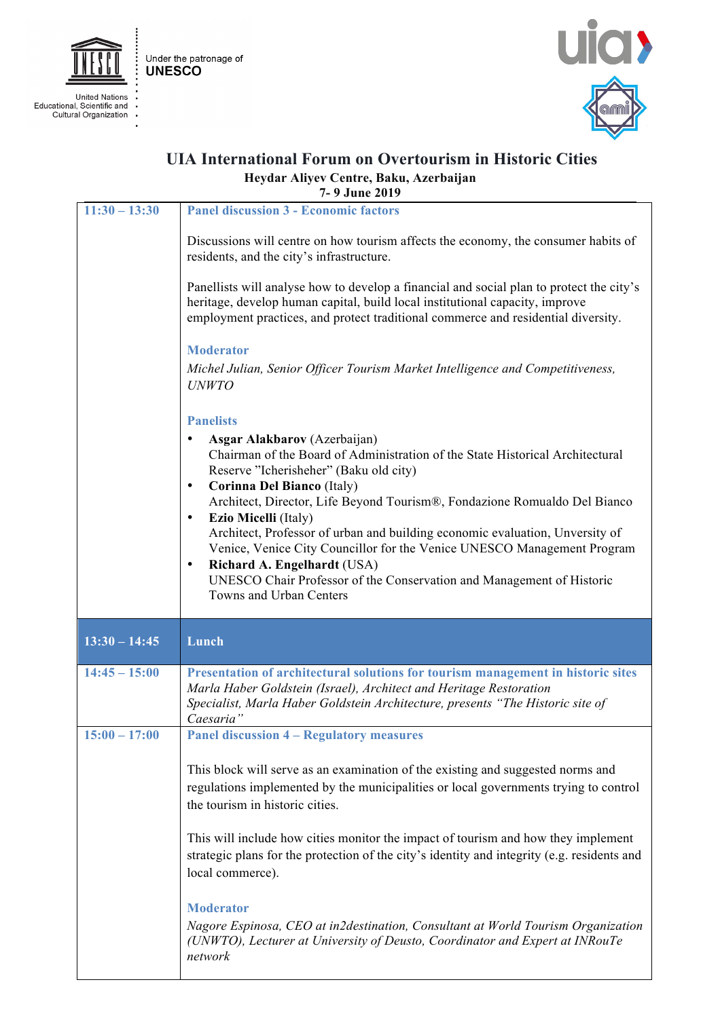

j

Under the patronage of **UNESCO** 

United Nations<br>Educational, Scientific and<br>Cultural Organization J.



## **UIA International Forum on Overtourism in Historic Cities Heydar Aliyev Centre, Baku, Azerbaijan 7- 9 June 2019**

| $11:30 - 13:30$ | <b>Panel discussion 3 - Economic factors</b>                                                                                                                                                                                                                                               |
|-----------------|--------------------------------------------------------------------------------------------------------------------------------------------------------------------------------------------------------------------------------------------------------------------------------------------|
|                 | Discussions will centre on how tourism affects the economy, the consumer habits of<br>residents, and the city's infrastructure.                                                                                                                                                            |
|                 | Panellists will analyse how to develop a financial and social plan to protect the city's<br>heritage, develop human capital, build local institutional capacity, improve<br>employment practices, and protect traditional commerce and residential diversity.                              |
|                 | <b>Moderator</b><br>Michel Julian, Senior Officer Tourism Market Intelligence and Competitiveness,<br><b>UNWTO</b>                                                                                                                                                                         |
|                 | <b>Panelists</b>                                                                                                                                                                                                                                                                           |
|                 | Asgar Alakbarov (Azerbaijan)<br>Chairman of the Board of Administration of the State Historical Architectural<br>Reserve "Icherisheher" (Baku old city)<br>Corinna Del Bianco (Italy)                                                                                                      |
|                 | Architect, Director, Life Beyond Tourism®, Fondazione Romualdo Del Bianco<br><b>Ezio Micelli</b> (Italy)                                                                                                                                                                                   |
|                 | Architect, Professor of urban and building economic evaluation, Unversity of<br>Venice, Venice City Councillor for the Venice UNESCO Management Program<br>Richard A. Engelhardt (USA)<br>UNESCO Chair Professor of the Conservation and Management of Historic<br>Towns and Urban Centers |
| $13:30 - 14:45$ | Lunch                                                                                                                                                                                                                                                                                      |
| $14:45 - 15:00$ | Presentation of architectural solutions for tourism management in historic sites<br>Marla Haber Goldstein (Israel), Architect and Heritage Restoration<br>Specialist, Marla Haber Goldstein Architecture, presents "The Historic site of<br>Caesaria"                                      |
| $15:00 - 17:00$ | <b>Panel discussion 4 – Regulatory measures</b>                                                                                                                                                                                                                                            |
|                 |                                                                                                                                                                                                                                                                                            |
|                 | This block will serve as an examination of the existing and suggested norms and<br>regulations implemented by the municipalities or local governments trying to control<br>the tourism in historic cities.                                                                                 |
|                 | This will include how cities monitor the impact of tourism and how they implement<br>strategic plans for the protection of the city's identity and integrity (e.g. residents and<br>local commerce).                                                                                       |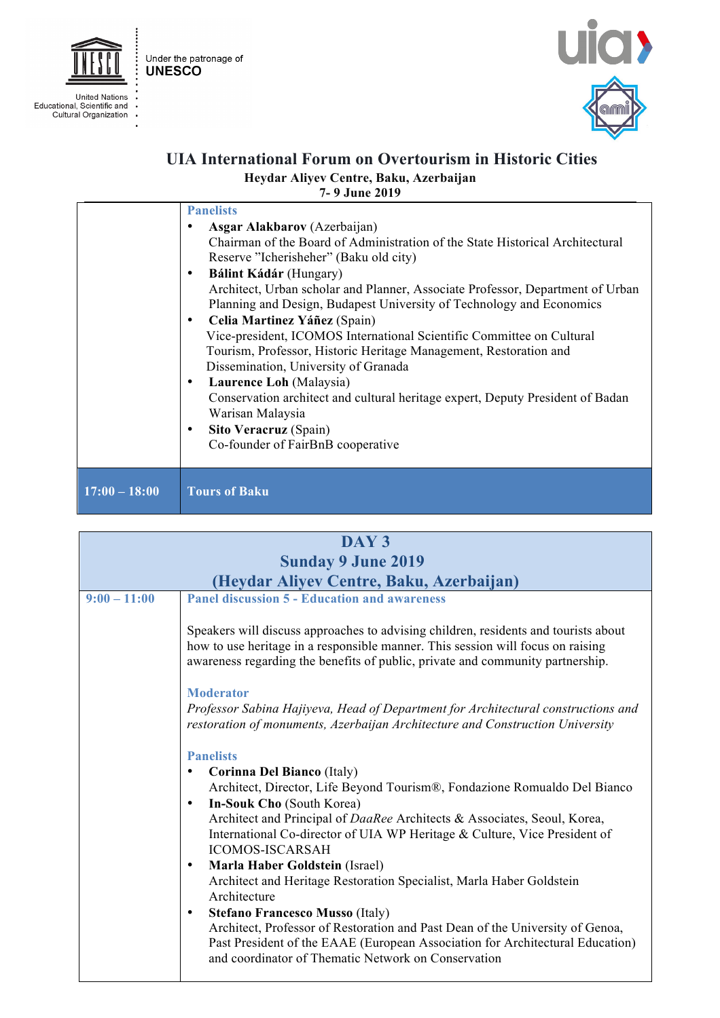



j J.



## **UIA International Forum on Overtourism in Historic Cities Heydar Aliyev Centre, Baku, Azerbaijan**

**7- 9 June 2019**

|                 | <b>Panelists</b>                                                               |
|-----------------|--------------------------------------------------------------------------------|
|                 | Asgar Alakbarov (Azerbaijan)                                                   |
|                 | Chairman of the Board of Administration of the State Historical Architectural  |
|                 | Reserve "Icherisheher" (Baku old city)                                         |
|                 | Bálint Kádár (Hungary)<br>٠                                                    |
|                 | Architect, Urban scholar and Planner, Associate Professor, Department of Urban |
|                 | Planning and Design, Budapest University of Technology and Economics           |
|                 | Celia Martinez Yáñez (Spain)<br>٠                                              |
|                 | Vice-president, ICOMOS International Scientific Committee on Cultural          |
|                 | Tourism, Professor, Historic Heritage Management, Restoration and              |
|                 | Dissemination, University of Granada                                           |
|                 | Laurence Loh (Malaysia)<br>٠                                                   |
|                 | Conservation architect and cultural heritage expert, Deputy President of Badan |
|                 | Warisan Malaysia                                                               |
|                 | Sito Veracruz (Spain)<br>٠                                                     |
|                 | Co-founder of FairBnB cooperative                                              |
|                 |                                                                                |
|                 |                                                                                |
| $17:00 - 18:00$ | <b>Tours of Baku</b>                                                           |
|                 |                                                                                |

| DAY <sub>3</sub>          |                                                                                                                                                                                                                                                                                                                                                                                                                                                    |  |
|---------------------------|----------------------------------------------------------------------------------------------------------------------------------------------------------------------------------------------------------------------------------------------------------------------------------------------------------------------------------------------------------------------------------------------------------------------------------------------------|--|
| <b>Sunday 9 June 2019</b> |                                                                                                                                                                                                                                                                                                                                                                                                                                                    |  |
|                           | (Heydar Aliyev Centre, Baku, Azerbaijan)                                                                                                                                                                                                                                                                                                                                                                                                           |  |
| $9:00 - 11:00$            | <b>Panel discussion 5 - Education and awareness</b>                                                                                                                                                                                                                                                                                                                                                                                                |  |
|                           | Speakers will discuss approaches to advising children, residents and tourists about<br>how to use heritage in a responsible manner. This session will focus on raising<br>awareness regarding the benefits of public, private and community partnership.<br><b>Moderator</b><br>Professor Sabina Hajiyeva, Head of Department for Architectural constructions and<br>restoration of monuments, Azerbaijan Architecture and Construction University |  |
|                           |                                                                                                                                                                                                                                                                                                                                                                                                                                                    |  |
|                           | <b>Panelists</b>                                                                                                                                                                                                                                                                                                                                                                                                                                   |  |
|                           | Corinna Del Bianco (Italy)<br>٠                                                                                                                                                                                                                                                                                                                                                                                                                    |  |
|                           | Architect, Director, Life Beyond Tourism®, Fondazione Romualdo Del Bianco<br>In-Souk Cho (South Korea)<br>$\bullet$                                                                                                                                                                                                                                                                                                                                |  |
|                           | Architect and Principal of DaaRee Architects & Associates, Seoul, Korea,<br>International Co-director of UIA WP Heritage & Culture, Vice President of<br><b>ICOMOS-ISCARSAH</b>                                                                                                                                                                                                                                                                    |  |
|                           | Marla Haber Goldstein (Israel)<br>$\bullet$                                                                                                                                                                                                                                                                                                                                                                                                        |  |
|                           | Architect and Heritage Restoration Specialist, Marla Haber Goldstein<br>Architecture                                                                                                                                                                                                                                                                                                                                                               |  |
|                           | <b>Stefano Francesco Musso (Italy)</b><br>$\bullet$<br>Architect, Professor of Restoration and Past Dean of the University of Genoa,<br>Past President of the EAAE (European Association for Architectural Education)<br>and coordinator of Thematic Network on Conservation                                                                                                                                                                       |  |